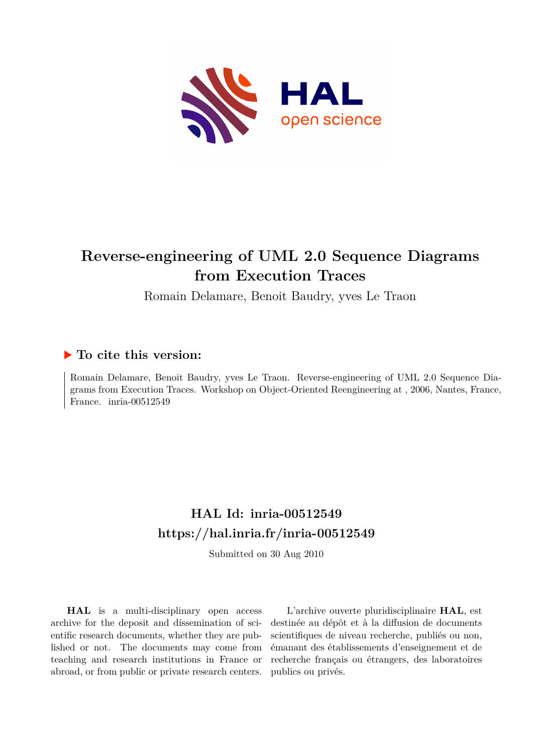

## **Reverse-engineering of UML 2.0 Sequence Diagrams from Execution Traces**

Romain Delamare, Benoit Baudry, yves Le Traon

### **To cite this version:**

Romain Delamare, Benoit Baudry, yves Le Traon. Reverse-engineering of UML 2.0 Sequence Diagrams from Execution Traces. Workshop on Object-Oriented Reengineering at , 2006, Nantes, France, France. inria-00512549

## **HAL Id: inria-00512549 <https://hal.inria.fr/inria-00512549>**

Submitted on 30 Aug 2010

**HAL** is a multi-disciplinary open access archive for the deposit and dissemination of scientific research documents, whether they are published or not. The documents may come from teaching and research institutions in France or abroad, or from public or private research centers.

L'archive ouverte pluridisciplinaire **HAL**, est destinée au dépôt et à la diffusion de documents scientifiques de niveau recherche, publiés ou non, émanant des établissements d'enseignement et de recherche français ou étrangers, des laboratoires publics ou privés.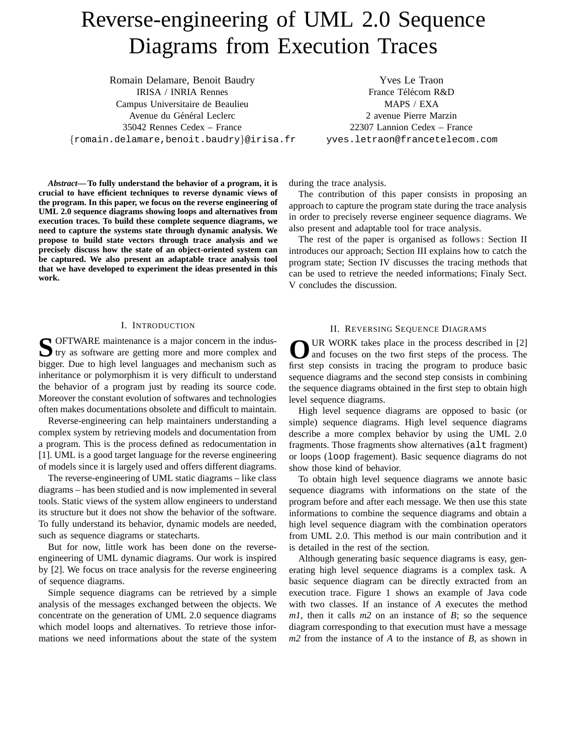# Reverse-engineering of UML 2.0 Sequence Diagrams from Execution Traces

Romain Delamare, Benoit Baudry IRISA / INRIA Rennes Campus Universitaire de Beaulieu Avenue du Général Leclerc 35042 Rennes Cedex – France *{*romain.delamare,benoit.baudry*}*@irisa.fr

*Abstract***— To fully understand the behavior of a program, it is crucial to have efficient techniques to reverse dynamic views of the program. In this paper, we focus on the reverse engineering of UML 2.0 sequence diagrams showing loops and alternatives from execution traces. To build these complete sequence diagrams, we need to capture the systems state through dynamic analysis. We propose to build state vectors through trace analysis and we precisely discuss how the state of an object-oriented system can be captured. We also present an adaptable trace analysis tool that we have developed to experiment the ideas presented in this work.**

#### I. INTRODUCTION

**S** OFTWARE maintenance is a major concern in the industry as software are getting more and more complex and bigger. Due to high level languages and mechanism such as inheritance or polymorphism it is very difficult to understand the behavior of a program just by reading its source code. Moreover the constant evolution of softwares and technologies often makes documentations obsolete and difficult to maintain.

Reverse-engineering can help maintainers understanding a complex system by retrieving models and documentation from a program. This is the process defined as redocumentation in [1]. UML is a good target language for the reverse engineering of models since it is largely used and offers different diagrams.

The reverse-engineering of UML static diagrams – like class diagrams – has been studied and is now implemented in several tools. Static views of the system allow engineers to understand its structure but it does not show the behavior of the software. To fully understand its behavior, dynamic models are needed, such as sequence diagrams or statecharts.

But for now, little work has been done on the reverseengineering of UML dynamic diagrams. Our work is inspired by [2]. We focus on trace analysis for the reverse engineering of sequence diagrams.

Simple sequence diagrams can be retrieved by a simple analysis of the messages exchanged between the objects. We concentrate on the generation of UML 2.0 sequence diagrams which model loops and alternatives. To retrieve those informations we need informations about the state of the system

Yves Le Traon France Télécom R&D MAPS / EXA 2 avenue Pierre Marzin 22307 Lannion Cedex – France yves.letraon@francetelecom.com

during the trace analysis.

The contribution of this paper consists in proposing an approach to capture the program state during the trace analysis in order to precisely reverse engineer sequence diagrams. We also present and adaptable tool for trace analysis.

The rest of the paper is organised as follows : Section II introduces our approach; Section III explains how to catch the program state; Section IV discusses the tracing methods that can be used to retrieve the needed informations; Finaly Sect. V concludes the discussion.

#### II. REVERSING SEQUENCE DIAGRAMS

OUR WORK takes place in the process described in [2] and focuses on the two first steps of the process. The first step consists in tracing the program to produce basic sequence diagrams and the second step consists in combining the sequence diagrams obtained in the first step to obtain high level sequence diagrams.

High level sequence diagrams are opposed to basic (or simple) sequence diagrams. High level sequence diagrams describe a more complex behavior by using the UML 2.0 fragments. Those fragments show alternatives (alt fragment) or loops (loop fragement). Basic sequence diagrams do not show those kind of behavior.

To obtain high level sequence diagrams we annote basic sequence diagrams with informations on the state of the program before and after each message. We then use this state informations to combine the sequence diagrams and obtain a high level sequence diagram with the combination operators from UML 2.0. This method is our main contribution and it is detailed in the rest of the section.

Although generating basic sequence diagrams is easy, generating high level sequence diagrams is a complex task. A basic sequence diagram can be directly extracted from an execution trace. Figure 1 shows an example of Java code with two classes. If an instance of *A* executes the method *m1*, then it calls *m2* on an instance of *B*; so the sequence diagram corresponding to that execution must have a message *m2* from the instance of *A* to the instance of *B*, as shown in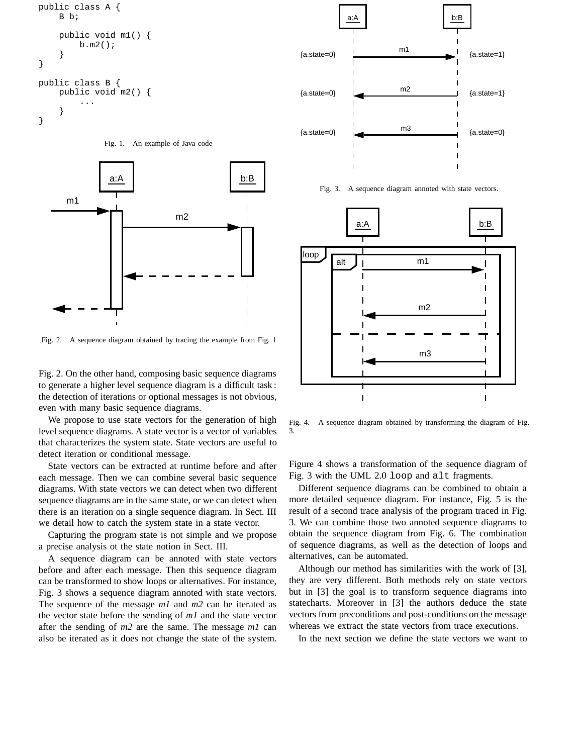

Fig. 1. An example of Java code



Fig. 2. A sequence diagram obtained by tracing the example from Fig. 1

Fig. 2. On the other hand, composing basic sequence diagrams to generate a higher level sequence diagram is a difficult task : the detection of iterations or optional messages is not obvious, even with many basic sequence diagrams.

We propose to use state vectors for the generation of high level sequence diagrams. A state vector is a vector of variables that characterizes the system state. State vectors are useful to detect iteration or conditional message.

State vectors can be extracted at runtime before and after each message. Then we can combine several basic sequence diagrams. With state vectors we can detect when two different sequence diagrams are in the same state, or we can detect when there is an iteration on a single sequence diagram. In Sect. III we detail how to catch the system state in a state vector.

Capturing the program state is not simple and we propose a precise analysis ot the state notion in Sect. III.

A sequence diagram can be annoted with state vectors before and after each message. Then this sequence diagram can be transformed to show loops or alternatives. For instance, Fig. 3 shows a sequence diagram annoted with state vectors. The sequence of the message *m1* and *m2* can be iterated as the vector state before the sending of *m1* and the state vector after the sending of *m2* are the same. The message *m1* can also be iterated as it does not change the state of the system.



Fig. 3. A sequence diagram annoted with state vectors.



Fig. 4. A sequence diagram obtained by transforming the diagram of Fig. 3.

Figure 4 shows a transformation of the sequence diagram of Fig. 3 with the UML 2.0 loop and alt fragments.

Different sequence diagrams can be combined to obtain a more detailed sequence diagram. For instance, Fig. 5 is the result of a second trace analysis of the program traced in Fig. 3. We can combine those two annoted sequence diagrams to obtain the sequence diagram from Fig. 6. The combination of sequence diagrams, as well as the detection of loops and alternatives, can be automated.

Although our method has similarities with the work of [3], they are very different. Both methods rely on state vectors but in [3] the goal is to transform sequence diagrams into statecharts. Moreover in [3] the authors deduce the state vectors from preconditions and post-conditions on the message whereas we extract the state vectors from trace executions.

In the next section we define the state vectors we want to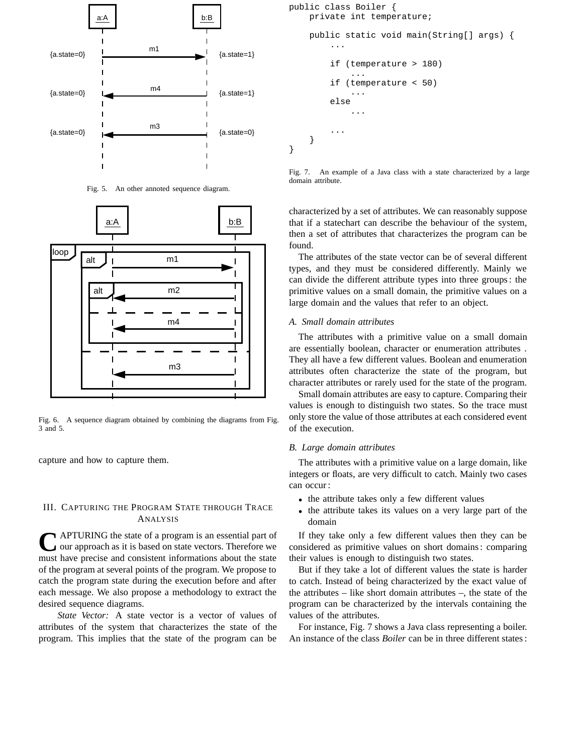

Fig. 5. An other annoted sequence diagram.



Fig. 6. A sequence diagram obtained by combining the diagrams from Fig. 3 and 5.

capture and how to capture them.

#### III. CAPTURING THE PROGRAM STATE THROUGH TRACE ANALYSIS

**CAPTURING** the state of a program is an essential part of our approach as it is based on state vectors. Therefore we must have precise and consistent informations about the state of the program at several points of the program. We propose to catch the program state during the execution before and after each message. We also propose a methodology to extract the desired sequence diagrams.

*State Vector:* A state vector is a vector of values of attributes of the system that characterizes the state of the program. This implies that the state of the program can be

```
public class Boiler {
    private int temperature;
    public static void main(String[] args) {
         ...
        if (temperature > 180)
             ...
        if (temperature < 50)
             ...
        else
             ...
         ...
    }
}
```
Fig. 7. An example of a Java class with a state characterized by a large domain attribute.

characterized by a set of attributes. We can reasonably suppose that if a statechart can describe the behaviour of the system, then a set of attributes that characterizes the program can be found.

The attributes of the state vector can be of several different types, and they must be considered differently. Mainly we can divide the different attribute types into three groups : the primitive values on a small domain, the primitive values on a large domain and the values that refer to an object.

#### *A. Small domain attributes*

The attributes with a primitive value on a small domain are essentially boolean, character or enumeration attributes . They all have a few different values. Boolean and enumeration attributes often characterize the state of the program, but character attributes or rarely used for the state of the program.

Small domain attributes are easy to capture. Comparing their values is enough to distinguish two states. So the trace must only store the value of those attributes at each considered event of the execution.

#### *B. Large domain attributes*

The attributes with a primitive value on a large domain, like integers or floats, are very difficult to catch. Mainly two cases can occur :

- the attribute takes only a few different values
- the attribute takes its values on a very large part of the domain

If they take only a few different values then they can be considered as primitive values on short domains : comparing their values is enough to distinguish two states.

But if they take a lot of different values the state is harder to catch. Instead of being characterized by the exact value of the attributes – like short domain attributes –, the state of the program can be characterized by the intervals containing the values of the attributes.

For instance, Fig. 7 shows a Java class representing a boiler. An instance of the class *Boiler* can be in three different states :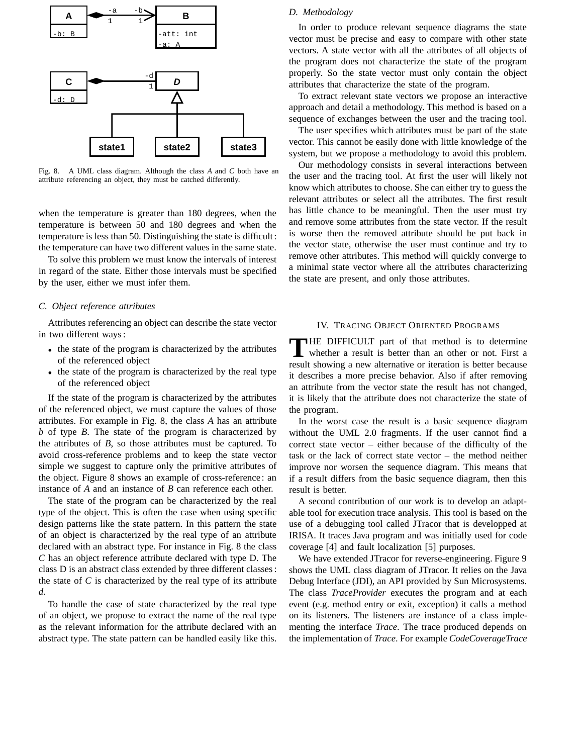

Fig. 8. A UML class diagram. Although the class *A* and *C* both have an attribute referencing an object, they must be catched differently.

when the temperature is greater than 180 degrees, when the temperature is between 50 and 180 degrees and when the temperature is less than 50. Distinguishing the state is difficult : the temperature can have two different values in the same state.

To solve this problem we must know the intervals of interest in regard of the state. Either those intervals must be specified by the user, either we must infer them.

#### *C. Object reference attributes*

Attributes referencing an object can describe the state vector in two different ways :

- the state of the program is characterized by the attributes of the referenced object
- the state of the program is characterized by the real type of the referenced object

If the state of the program is characterized by the attributes of the referenced object, we must capture the values of those attributes. For example in Fig. 8, the class *A* has an attribute *b* of type *B*. The state of the program is characterized by the attributes of *B*, so those attributes must be captured. To avoid cross-reference problems and to keep the state vector simple we suggest to capture only the primitive attributes of the object. Figure 8 shows an example of cross-reference : an instance of *A* and an instance of *B* can reference each other.

The state of the program can be characterized by the real type of the object. This is often the case when using specific design patterns like the state pattern. In this pattern the state of an object is characterized by the real type of an attribute declared with an abstract type. For instance in Fig. 8 the class *C* has an object reference attribute declared with type D. The class D is an abstract class extended by three different classes : the state of  $C$  is characterized by the real type of its attribute *d*.

To handle the case of state characterized by the real type of an object, we propose to extract the name of the real type as the relevant information for the attribute declared with an abstract type. The state pattern can be handled easily like this.

#### *D. Methodology*

In order to produce relevant sequence diagrams the state vector must be precise and easy to compare with other state vectors. A state vector with all the attributes of all objects of the program does not characterize the state of the program properly. So the state vector must only contain the object attributes that characterize the state of the program.

To extract relevant state vectors we propose an interactive approach and detail a methodology. This method is based on a sequence of exchanges between the user and the tracing tool.

The user specifies which attributes must be part of the state vector. This cannot be easily done with little knowledge of the system, but we propose a methodology to avoid this problem.

Our methodology consists in several interactions between the user and the tracing tool. At first the user will likely not know which attributes to choose. She can either try to guess the relevant attributes or select all the attributes. The first result has little chance to be meaningful. Then the user must try and remove some attributes from the state vector. If the result is worse then the removed attribute should be put back in the vector state, otherwise the user must continue and try to remove other attributes. This method will quickly converge to a minimal state vector where all the attributes characterizing the state are present, and only those attributes.

#### IV. TRACING OBJECT ORIENTED PROGRAMS

THE DIFFICULT part of that method is to determine whether a result is better than an other or not. First a result showing a new alternative or iteration is better because it describes a more precise behavior. Also if after removing an attribute from the vector state the result has not changed, it is likely that the attribute does not characterize the state of the program.

In the worst case the result is a basic sequence diagram without the UML 2.0 fragments. If the user cannot find a correct state vector – either because of the difficulty of the task or the lack of correct state vector – the method neither improve nor worsen the sequence diagram. This means that if a result differs from the basic sequence diagram, then this result is better.

A second contribution of our work is to develop an adaptable tool for execution trace analysis. This tool is based on the use of a debugging tool called JTracor that is developped at IRISA. It traces Java program and was initially used for code coverage [4] and fault localization [5] purposes.

We have extended JTracor for reverse-engineering. Figure 9 shows the UML class diagram of JTracor. It relies on the Java Debug Interface (JDI), an API provided by Sun Microsystems. The class *TraceProvider* executes the program and at each event (e.g. method entry or exit, exception) it calls a method on its listeners. The listeners are instance of a class implementing the interface *Trace*. The trace produced depends on the implementation of *Trace*. For example *CodeCoverageTrace*